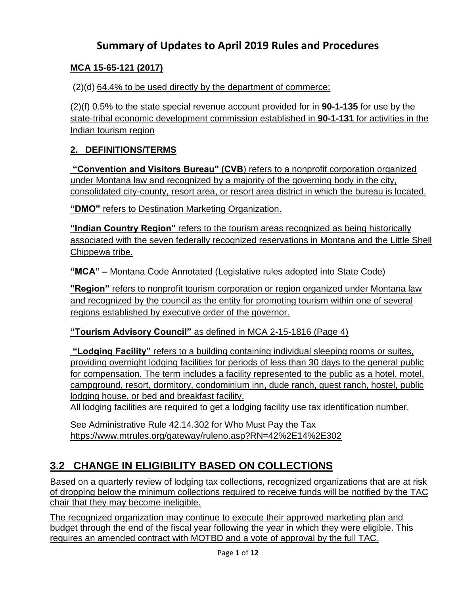# **Summary of Updates to April 2019 Rules and Procedures**

### **MCA 15-65-121 (2017)**

(2)(d) 64.4% to be used directly by the department of commerce;

(2)(f) 0.5% to the state special revenue account provided for in **[90-1-135](http://leg.mt.gov/bills/mca/title_0900/chapter_0010/part_0010/section_0350/0900-0010-0010-0350.html)** for use by the state-tribal economic development commission established in **[90-1-131](http://leg.mt.gov/bills/mca/title_0900/chapter_0010/part_0010/section_0310/0900-0010-0010-0310.html)** for activities in the Indian tourism region

### **2. DEFINITIONS/TERMS**

**"Convention and Visitors Bureau" (CVB**) refers to a nonprofit corporation organized under Montana law and recognized by a majority of the governing body in the city, consolidated city-county, resort area, or resort area district in which the bureau is located.

**"DMO"** refers to Destination Marketing Organization.

**"Indian Country Region"** refers to the tourism areas recognized as being historically associated with the seven federally recognized reservations in Montana and the Little Shell Chippewa tribe.

**"MCA" –** Montana Code Annotated (Legislative rules adopted into State Code)

**"Region"** refers to nonprofit tourism corporation or region organized under Montana law and recognized by the council as the entity for promoting tourism within one of several regions established by executive order of the governor.

**"Tourism Advisory Council"** as defined in MCA 2-15-1816 (Page 4)

**"Lodging Facility"** refers to a building containing individual sleeping rooms or suites, providing overnight lodging facilities for periods of less than 30 days to the general public for compensation. The term includes a facility represented to the public as a hotel, motel, campground, resort, dormitory, condominium inn, dude ranch, guest ranch, hostel, public lodging house, or bed and breakfast facility.

All lodging facilities are required to get a lodging facility use tax identification number.

See Administrative Rule 42.14.302 for [Who Must Pay the Tax](http://www.mtrules.org/gateway/ruleno.asp?RN=42%2E14%2E302) <https://www.mtrules.org/gateway/ruleno.asp?RN=42%2E14%2E302>

# **3.2 CHANGE IN ELIGIBILITY BASED ON COLLECTIONS**

Based on a quarterly review of lodging tax collections, recognized organizations that are at risk of dropping below the minimum collections required to receive funds will be notified by the TAC chair that they may become ineligible.

The recognized organization may continue to execute their approved marketing plan and budget through the end of the fiscal year following the year in which they were eligible. This requires an amended contract with MOTBD and a vote of approval by the full TAC.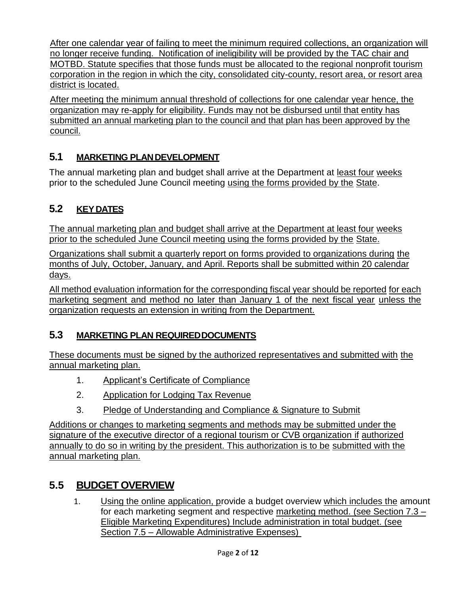After one calendar year of failing to meet the minimum required collections, an organization will no longer receive funding. Notification of ineligibility will be provided by the TAC chair and MOTBD. Statute specifies that those funds must be allocated to the regional nonprofit tourism corporation in the region in which the city, consolidated city-county, resort area, or resort area district is located.

After meeting the minimum annual threshold of collections for one calendar year hence, the organization may re-apply for eligibility. Funds may not be disbursed until that entity has submitted an annual marketing plan to the council and that plan has been approved by the council.

# **5.1 MARKETING PLANDEVELOPMENT**

The annual marketing plan and budget shall arrive at the Department at least four weeks prior to the scheduled June Council meeting using the forms provided by the State.

# **5.2 KEYDATES**

The annual marketing plan and budget shall arrive at the Department at least four weeks prior to the scheduled June Council meeting using the forms provided by the State.

Organizations shall submit a quarterly report on forms provided to organizations during the months of July, October, January, and April. Reports shall be submitted within 20 calendar days.

All method evaluation information for the corresponding fiscal year should be reported for each marketing segment and method no later than January 1 of the next fiscal year unless the organization requests an extension in writing from the Department.

# **5.3 MARKETING PLAN REQUIREDDOCUMENTS**

These documents must be signed by the authorized representatives and submitted with the annual marketing plan.

- 1. Applicant's Certificate of Compliance
- 2. Application for Lodging Tax Revenue
- 3. Pledge of Understanding and Compliance & Signature to Submit

Additions or changes to marketing segments and methods may be submitted under the signature of the executive director of a regional tourism or CVB organization if authorized annually to do so in writing by the president. This authorization is to be submitted with the annual marketing plan.

# **5.5 BUDGET OVERVIEW**

1. Using the online application, provide a budget overview which includes the amount for each marketing segment and respective marketing method. (see Section 7.3 – Eligible Marketing Expenditures) Include administration in total budget. (see Section 7.5 – Allowable Administrative Expenses)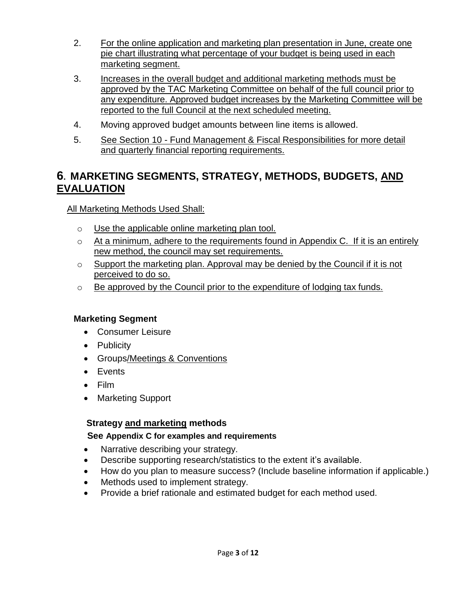- 2. For the online application and marketing plan presentation in June, create one pie chart illustrating what percentage of your budget is being used in each marketing segment.
- 3. Increases in the overall budget and additional marketing methods must be approved by the TAC Marketing Committee on behalf of the full council prior to any expenditure. Approved budget increases by the Marketing Committee will be reported to the full Council at the next scheduled meeting.
- 4. Moving approved budget amounts between line items is allowed.
- 5. See Section 10 Fund Management & Fiscal Responsibilities for more detail and quarterly financial reporting requirements.

# **6. MARKETING SEGMENTS, STRATEGY, METHODS, BUDGETS, AND EVALUATION**

All Marketing Methods Used Shall:

- o Use the applicable online marketing plan tool.
- o At a minimum, adhere to the requirements found in Appendix C. If it is an entirely new method, the council may set requirements.
- o Support the marketing plan. Approval may be denied by the Council if it is not perceived to do so.
- o Be approved by the Council prior to the expenditure of lodging tax funds.

# **Marketing Segment**

- Consumer Leisure
- Publicity
- Groups/Meetings & Conventions
- Events
- Film
- Marketing Support

### **Strategy and marketing methods**

### **See Appendix C for examples and requirements**

- Narrative describing your strategy.
- Describe supporting research/statistics to the extent it's available.
- How do you plan to measure success? (Include baseline information if applicable.)
- Methods used to implement strategy.
- Provide a brief rationale and estimated budget for each method used.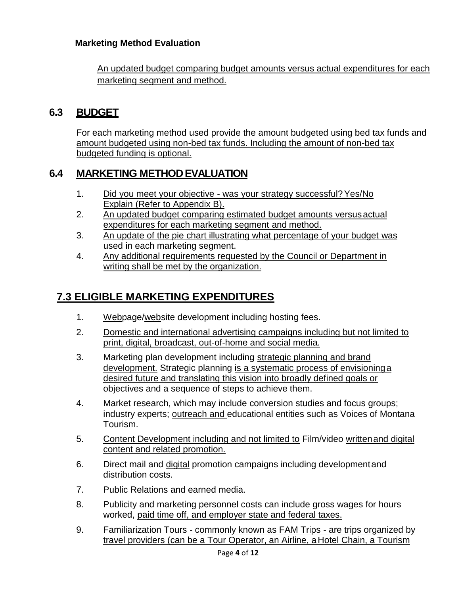### **Marketing Method Evaluation**

An updated budget comparing budget amounts versus actual expenditures for each marketing segment and method.

# **6.3 BUDGET**

For each marketing method used provide the amount budgeted using bed tax funds and amount budgeted using non-bed tax funds. Including the amount of non-bed tax budgeted funding is optional.

# **6.4 MARKETING METHODEVALUATION**

- 1. Did you meet your objective was your strategy successful?Yes/No Explain (Refer to Appendix B).
- 2. An updated budget comparing estimated budget amounts versusactual expenditures for each marketing segment and method.
- 3. An update of the pie chart illustrating what percentage of your budget was used in each marketing segment.
- 4. Any additional requirements requested by the Council or Department in writing shall be met by the organization.

# **7.3 ELIGIBLE MARKETING EXPENDITURES**

- 1. Webpage/website development including hosting fees.
- 2. Domestic and international advertising campaigns including but not limited to print, digital, broadcast, out-of-home and social media.
- 3. Marketing plan development including strategic planning and brand development. Strategic planning is a systematic process of envisioninga desired future and translating this vision into broadly defined goals or objectives and a sequence of steps to achieve them.
- 4. Market research, which may include conversion studies and focus groups; industry experts; outreach and educational entities such as Voices of Montana Tourism.
- 5. Content Development including and not limited to Film/video writtenand digital content and related promotion.
- 6. Direct mail and digital promotion campaigns including developmentand distribution costs.
- 7. Public Relations and earned media.
- 8. Publicity and marketing personnel costs can include gross wages for hours worked, paid time off, and employer state and federal taxes.
- 9. Familiarization Tours commonly known as FAM Trips are trips organized by travel providers (can be a Tour Operator, an Airline, aHotel Chain, a Tourism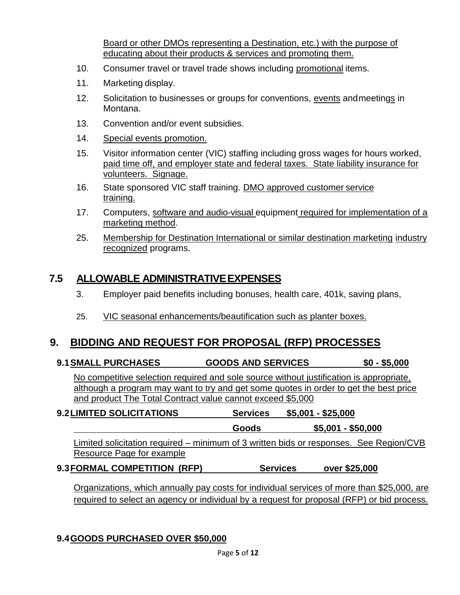Board or other DMOs representing a Destination, etc.) with the purpose of educating about their products & services and promoting them.

- 10. Consumer travel or travel trade shows including promotional items.
- 11. Marketing display.
- 12. Solicitation to businesses or groups for conventions, events andmeetings in Montana.
- 13. Convention and/or event subsidies.
- 14. Special events promotion.
- 15. Visitor information center (VIC) staffing including gross wages for hours worked, paid time off, and employer state and federal taxes. State liability insurance for volunteers. Signage.
- 16. State sponsored VIC staff training. DMO approved customer service training.
- 17. Computers, software and audio-visual equipment required for implementation of a marketing method.
- 25. Membership for Destination International or similar destination marketing industry recognized programs.

### **7.5 ALLOWABLE ADMINISTRATIVEEXPENSES**

- 3. Employer paid benefits including bonuses, health care, 401k, saving plans,
- 25. VIC seasonal enhancements/beautification such as planter boxes.

# **9. BIDDING AND REQUEST FOR PROPOSAL (RFP) PROCESSES**

**9.1SMALL PURCHASES GOODS AND SERVICES \$0 - \$5,000**

No competitive selection required and sole source without justification is appropriate, although a program may want to try and get some quotes in order to get the best price and product The Total Contract value cannot exceed \$5,000

| 9.2 LIMITED SOLICITATIONS | <b>Services</b> | \$5,001 - \$25,000 |
|---------------------------|-----------------|--------------------|
|                           | Goods           | \$5,001 - \$50,000 |

Limited solicitation required – minimum of 3 written bids or responses. See Region/CVB Resource Page for example

### **9.3FORMAL COMPETITION (RFP) Services over \$25,000**

Organizations, which annually pay costs for individual services of more than \$25,000, are required to select an agency or individual by a request for proposal (RFP) or bid process.

### **9.4GOODS PURCHASED OVER \$50,000**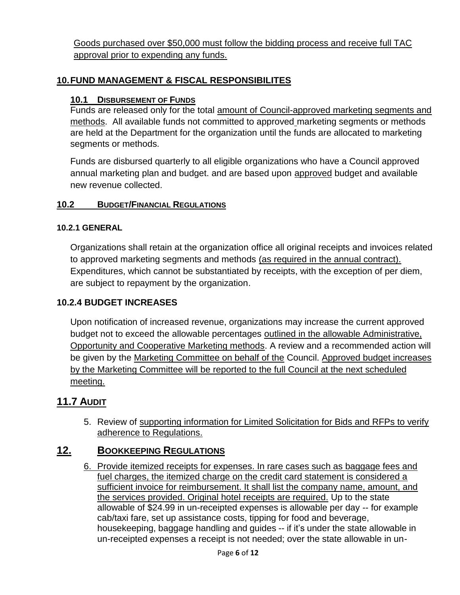Goods purchased over \$50,000 must follow the bidding process and receive full TAC approval prior to expending any funds.

### **10.FUND MANAGEMENT & FISCAL RESPONSIBILITES**

#### **10.1 DISBURSEMENT OF FUNDS**

Funds are released only for the total amount of Council-approved marketing segments and methods. All available funds not committed to approved marketing segments or methods are held at the Department for the organization until the funds are allocated to marketing segments or methods.

Funds are disbursed quarterly to all eligible organizations who have a Council approved annual marketing plan and budget. and are based upon approved budget and available new revenue collected.

#### **10.2 BUDGET/FINANCIAL REGULATIONS**

#### **10.2.1 GENERAL**

Organizations shall retain at the organization office all original receipts and invoices related to approved marketing segments and methods (as required in the annual contract). Expenditures, which cannot be substantiated by receipts, with the exception of per diem, are subject to repayment by the organization.

#### **10.2.4 BUDGET INCREASES**

Upon notification of increased revenue, organizations may increase the current approved budget not to exceed the allowable percentages outlined in the allowable Administrative, Opportunity and Cooperative Marketing methods. A review and a recommended action will be given by the Marketing Committee on behalf of the Council. Approved budget increases by the Marketing Committee will be reported to the full Council at the next scheduled meeting.

### **11.7 AUDIT**

5. Review of supporting information for Limited Solicitation for Bids and RFPs to verify adherence to Regulations.

### **12. BOOKKEEPING REGULATIONS**

6. Provide itemized receipts for expenses. In rare cases such as baggage fees and fuel charges, the itemized charge on the credit card statement is considered a sufficient invoice for reimbursement. It shall list the company name, amount, and the services provided. Original hotel receipts are required. Up to the state allowable of \$24.99 in un-receipted expenses is allowable per day -- for example cab/taxi fare, set up assistance costs, tipping for food and beverage, housekeeping, baggage handling and guides -- if it's under the state allowable in un-receipted expenses a receipt is not needed; over the state allowable in un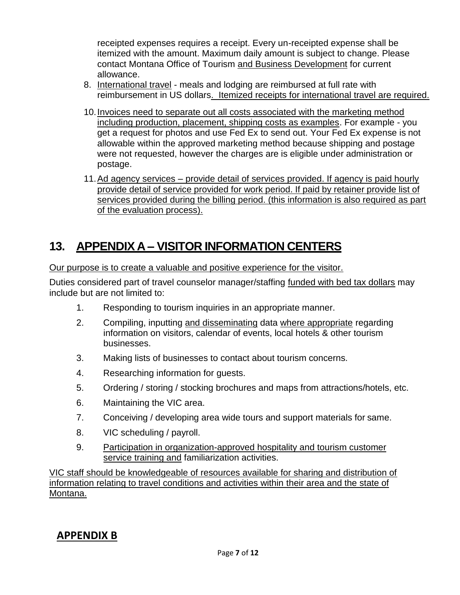receipted expenses requires a receipt. Every un-receipted expense shall be itemized with the amount. Maximum daily amount is subject to change. Please contact Montana Office of Tourism and Business Development for current allowance.

- 8. International travel meals and lodging are reimbursed at full rate with reimbursement in US dollars. Itemized receipts for international travel are required.
- 10.Invoices need to separate out all costs associated with the marketing method including production, placement, shipping costs as examples. For example - you get a request for photos and use Fed Ex to send out. Your Fed Ex expense is not allowable within the approved marketing method because shipping and postage were not requested, however the charges are is eligible under administration or postage.
- 11.Ad agency services provide detail of services provided. If agency is paid hourly provide detail of service provided for work period. If paid by retainer provide list of services provided during the billing period. (this information is also required as part of the evaluation process).

# **13. APPENDIX A – VISITOR INFORMATION CENTERS**

Our purpose is to create a valuable and positive experience for the visitor.

Duties considered part of travel counselor manager/staffing funded with bed tax dollars may include but are not limited to:

- 1. Responding to tourism inquiries in an appropriate manner.
- 2. Compiling, inputting and disseminating data where appropriate regarding information on visitors, calendar of events, local hotels & other tourism businesses.
- 3. Making lists of businesses to contact about tourism concerns.
- 4. Researching information for guests.
- 5. Ordering / storing / stocking brochures and maps from attractions/hotels, etc.
- 6. Maintaining the VIC area.
- 7. Conceiving / developing area wide tours and support materials for same.
- 8. VIC scheduling / payroll.
- 9. Participation in organization-approved hospitality and tourism customer service training and familiarization activities.

VIC staff should be knowledgeable of resources available for sharing and distribution of information relating to travel conditions and activities within their area and the state of Montana.

# **APPENDIX B**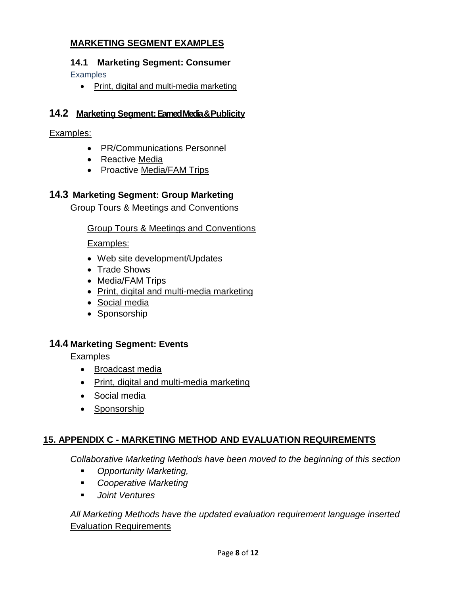### **MARKETING SEGMENT EXAMPLES**

# **14.1 Marketing Segment: Consumer**

**Examples** 

• Print, digital and multi-media marketing

### **14.2 Marketing Segment:Earned Media & Publicity**

Examples:

- PR/Communications Personnel
- Reactive Media
- Proactive Media/FAM Trips

### **14.3 Marketing Segment: Group Marketing**

Group Tours & Meetings and Conventions

### Group Tours & Meetings and Conventions

Examples:

- Web site development/Updates
- Trade Shows
- Media/FAM Trips
- Print, digital and multi-media marketing
- Social media
- Sponsorship

### **14.4 Marketing Segment: Events**

**Examples** 

- Broadcast media
- Print, digital and multi-media marketing
- Social media
- Sponsorship

# **15. APPENDIX C - MARKETING METHOD AND EVALUATION REQUIREMENTS**

*Collaborative Marketing Methods have been moved to the beginning of this section*

- *Opportunity Marketing,*
- *Cooperative Marketing*
- *Joint Ventures*

*All Marketing Methods have the updated evaluation requirement language inserted* Evaluation Requirements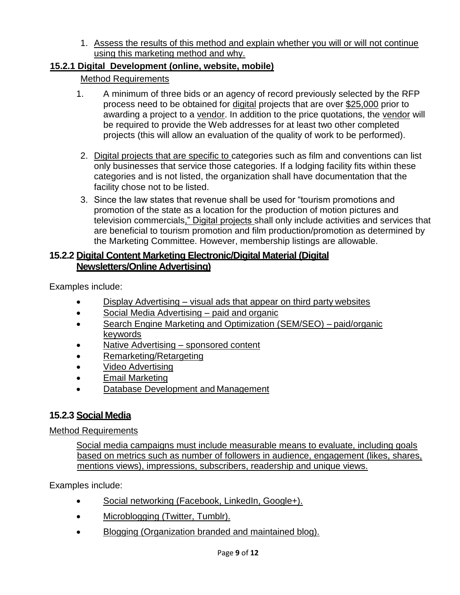1. Assess the results of this method and explain whether you will or will not continue using this marketing method and why.

### **15.2.1 Digital Development (online, website, mobile)**

### Method Requirements

- 1. A minimum of three bids or an agency of record previously selected by the RFP process need to be obtained for digital projects that are over \$25,000 prior to awarding a project to a vendor. In addition to the price quotations, the vendor will be required to provide the Web addresses for at least two other completed projects (this will allow an evaluation of the quality of work to be performed).
- 2. Digital projects that are specific to categories such as film and conventions can list only businesses that service those categories. If a lodging facility fits within these categories and is not listed, the organization shall have documentation that the facility chose not to be listed.
- 3. Since the law states that revenue shall be used for "tourism promotions and promotion of the state as a location for the production of motion pictures and television commercials," Digital projects shall only include activities and services that are beneficial to tourism promotion and film production/promotion as determined by the Marketing Committee. However, membership listings are allowable.

### **15.2.2 Digital Content Marketing Electronic/Digital Material (Digital Newsletters/Online Advertising)**

Examples include:

- Display Advertising visual ads that appear on third party websites
- Social Media Advertising paid and organic
- Search Engine Marketing and Optimization (SEM/SEO) paid/organic keywords
- Native Advertising sponsored content
- Remarketing/Retargeting
- Video Advertising
- Email Marketing
- Database Development and Management

### **15.2.3 Social Media**

### Method Requirements

Social media campaigns must include measurable means to evaluate, including goals based on metrics such as number of followers in audience, engagement (likes, shares, mentions views), impressions, subscribers, readership and unique views.

Examples include:

- Social networking (Facebook, LinkedIn, Google+).
- Microblogging (Twitter, Tumblr).
- Blogging (Organization branded and maintained blog).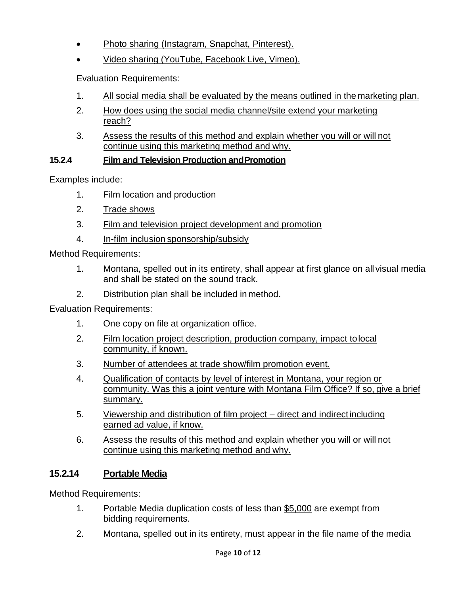- Photo sharing (Instagram, Snapchat, Pinterest).
- Video sharing (YouTube, Facebook Live, Vimeo).

Evaluation Requirements:

- 1. All social media shall be evaluated by the means outlined in the marketing plan.
- 2. How does using the social media channel/site extend your marketing reach?
- 3. Assess the results of this method and explain whether you will or will not continue using this marketing method and why.

### **15.2.4 Film and Television Production andPromotion**

Examples include:

- 1. Film location and production
- 2. Trade shows
- 3. Film and television project development and promotion
- 4. In-film inclusion sponsorship/subsidy

Method Requirements:

- 1. Montana, spelled out in its entirety, shall appear at first glance on all visual media and shall be stated on the sound track.
- 2. Distribution plan shall be included in method.

Evaluation Requirements:

- 1. One copy on file at organization office.
- 2. Film location project description, production company, impact tolocal community, if known.
- 3. Number of attendees at trade show/film promotion event.
- 4. Qualification of contacts by level of interest in Montana, your region or community. Was this a joint venture with Montana Film Office? If so, give a brief summary.
- 5. Viewership and distribution of film project direct and indirectincluding earned ad value, if know.
- 6. Assess the results of this method and explain whether you will or will not continue using this marketing method and why.

# **15.2.14 Portable Media**

Method Requirements:

- 1. Portable Media duplication costs of less than \$5,000 are exempt from bidding requirements.
- 2. Montana, spelled out in its entirety, must appear in the file name of the media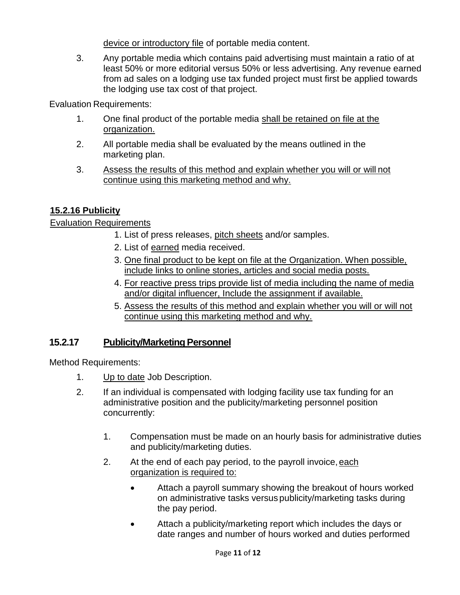device or introductory file of portable media content.

3. Any portable media which contains paid advertising must maintain a ratio of at least 50% or more editorial versus 50% or less advertising. Any revenue earned from ad sales on a lodging use tax funded project must first be applied towards the lodging use tax cost of that project.

Evaluation Requirements:

- 1. One final product of the portable media shall be retained on file at the organization.
- 2. All portable media shall be evaluated by the means outlined in the marketing plan.
- 3. Assess the results of this method and explain whether you will or will not continue using this marketing method and why.

### **15.2.16 Publicity**

### Evaluation Requirements

- 1. List of press releases, pitch sheets and/or samples.
- 2. List of earned media received.
- 3. One final product to be kept on file at the Organization. When possible, include links to online stories, articles and social media posts.
- 4. For reactive press trips provide list of media including the name of media and/or digital influencer, Include the assignment if available.
- 5. Assess the results of this method and explain whether you will or will not continue using this marketing method and why.

### **15.2.17** Publicity/Marketing Personnel

Method Requirements:

- 1. Up to date Job Description.
- 2. If an individual is compensated with lodging facility use tax funding for an administrative position and the publicity/marketing personnel position concurrently:
	- 1. Compensation must be made on an hourly basis for administrative duties and publicity/marketing duties.
	- 2. At the end of each pay period, to the payroll invoice, each organization is required to:
		- Attach a payroll summary showing the breakout of hours worked on administrative tasks versus publicity/marketing tasks during the pay period.
		- Attach a publicity/marketing report which includes the days or date ranges and number of hours worked and duties performed